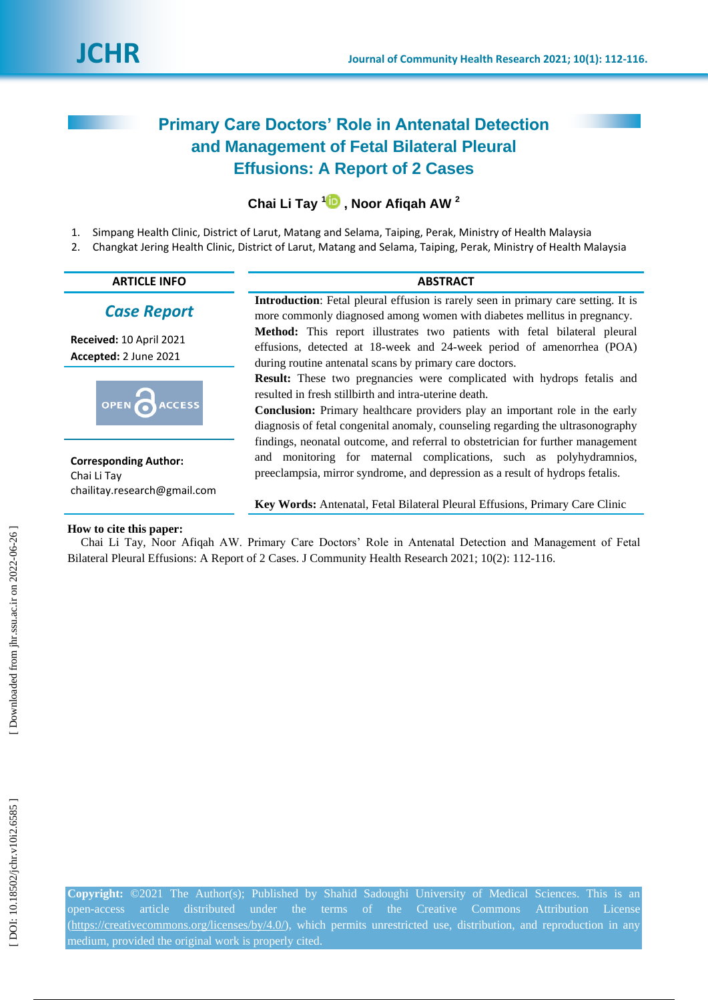# **Primary Care Doctors' Role in Antenatal Detection and Management of Fetal Bilateral Pleural Effusions: A Report of 2 Cases**

## **Chai Li Tay [1](https://orcid.org/0000-0003-2871-8260) , Noor Afiqah AW 2**

- 1 . Simpang Health Clinic, District of Larut, Matang and Selama, Taiping, Perak, Ministry of Health Malaysia
- 2 . Changkat Jering Health Clinic, District of Larut, Matang and Selama, Taiping, Perak, Ministry of Health Malaysia

| <b>ABSTRACT</b><br><b>Introduction</b> : Fetal pleural effusion is rarely seen in primary care setting. It is<br>more commonly diagnosed among women with diabetes mellitus in pregnancy.<br>Method: This report illustrates two patients with fetal bilateral pleural<br>effusions, detected at 18-week and 24-week period of amenorrhea (POA) |
|-------------------------------------------------------------------------------------------------------------------------------------------------------------------------------------------------------------------------------------------------------------------------------------------------------------------------------------------------|
|                                                                                                                                                                                                                                                                                                                                                 |
|                                                                                                                                                                                                                                                                                                                                                 |
| during routine antenatal scans by primary care doctors.                                                                                                                                                                                                                                                                                         |
| <b>Result:</b> These two pregnancies were complicated with hydrops fetalis and<br>resulted in fresh stillbirth and intra-uterine death.<br><b>Conclusion:</b> Primary healthcare providers play an important role in the early<br>diagnosis of fetal congenital anomaly, counseling regarding the ultrasonography                               |
| findings, neonatal outcome, and referral to obstetrician for further management<br>and monitoring for maternal complications, such as polyhydramnios,<br>preeclampsia, mirror syndrome, and depression as a result of hydrops fetalis.<br><b>Key Words:</b> Antenatal, Fetal Bilateral Pleural Effusions, Primary Care Clinic                   |
|                                                                                                                                                                                                                                                                                                                                                 |

#### **How to cite this paper:**

Chai Li Tay, Noor Afiqah AW. Primary Care Doctors' Role in Antenatal Detection and Management of Fetal Bilateral Pleural Effusions: A Report of 2 Cases. J Community Health Research 2021; 10(2): 112-116.

**Copyright:** ©2021 The Author(s); Published by Shahid Sadoughi University of Medical Sciences. This is an open -access article distributed under the terms of the Creative Commons Attribution License (https://creativecommons.org/licenses/by/4.0/), which permits unrestricted use, distribution, and reproduction in any medium, provided the original work is properly cited.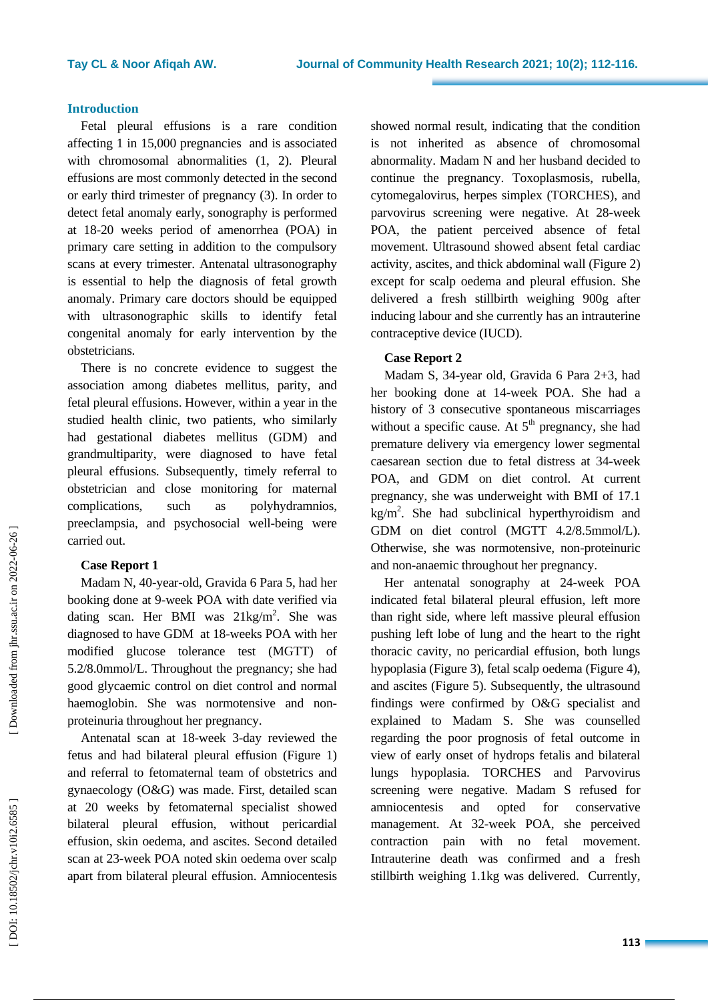#### **Introduction**

Fetal pleural effusions is a rare condition affecting 1 in 15,000 pregnancies and is associated with chromosomal abnormalities (1, 2). Pleural effusions are most commonly detected in the second or early third trimester of pregnancy (3). In order to detect fetal anomaly early, sonography is performed at 18 -20 weeks period of amenorrhea (POA ) in primary care setting in addition to the compulsory scans at every trimester. Antenatal ultrasonography is essential to help the diagnosis of fetal growth anomaly. Primary care doctors should be equipped with ultrasonographic skills to identify fetal congenital anomaly for early intervention by the obstetricians. There is no concrete evidence to suggest the

association among diabetes mellitus, parity , and fetal pleural effusions. However , within a year in the studied health clinic, two patients, who similarly ha d gestational diabetes mellitus (GDM) and grandmultiparity, were diagnosed to have fetal pleural effusions. Subsequently, timely referral to obstetrician and close monitoring for maternal complications such as polyhydramnios, preeclampsia , and psychosocial well -being were carried out.

#### **Case Report 1**

Madam N, 40 -year -old, Gravida 6 Para 5, had her booking done at 9 -week POA with date verified via dating scan. Her BMI was 21kg/m<sup>2</sup>. She was diagnosed to have GDM at 18 -weeks POA with her modified glucose tolerance test (MGTT) of 5.2/8.0mmol/L. Throughout the pregnancy; she had good glyc aemic control on diet control and normal haemoglobin. She was normotensive and non proteinuria throughout her pregnancy.

Antenatal scan at 18 -week 3 -day reviewed the fetus and had bilateral pleura l effusion (Figure 1) and referral to fetomaternal team of obstetrics and gynaecology (O&G) was made. First , detailed scan at 20 weeks by fetomaternal specialist showed bilateral pleura l effusion, without pericardial effusion, skin oedema , and ascites. Second detailed scan at 23 -week POA noted skin oedema over scalp apart from bilateral pleural effusion. Amniocentesis

showed normal result, indicating that the condition is not inherited as absence of chromosomal abnormality. Madam N and her husband decided to continue the pregnancy. Toxoplasmosis, rubella, cytomegalovirus, herpes simplex (TORCHES) , and parvovirus screening were negative. At 28 -week POA, the patient perceived absence of fetal movement. Ultrasound showed absent fetal cardiac activity, ascites, and thick abdominal wall ( Figure 2) except for scalp oedema and pleural effusion. She delivered a fresh stillbirth weighing 900g after inducing labour and she currently has an intrauterine contraceptive device (IUCD).

### **Case Report 2**

Madam S, 34 -year old, Gravida 6 Para 2+3, had her booking done at 1 4 -week POA. She had a history of 3 consecutive spontaneous miscarriages without a specific cause. At  $5<sup>th</sup>$  pregnancy, she had premature delivery via emergency lower segmental caesarean section due to fetal distress at 34 -week POA, and GDM on diet control. At current pregnancy, she was underweight with BMI of 17.1  $kg/m<sup>2</sup>$ . She had subclinical hyperthyroidism and GDM on diet control (MGTT 4.2/8.5mmol/L). Otherwise, she was normotensive, non-proteinuric and non -anaemic throughout her pregnancy.

Her antenatal sonography at 24 -week POA indicated fetal bilateral pleural effusion, left more than right side, where left massive pleural effusion pushing left lobe of lung and the heart to the right thoracic cavity, no pericardial effusion, both lungs hypoplasia ( Figure 3), fetal scalp oedema ( Figure 4) , and ascites ( Figure 5). Subsequently, the ultrasound findings were confirmed by O&G specialist and explained to Madam S. She was counselled regarding the poor prognosis of fetal outcome in view of early onset of hydrops fetalis and bilateral lungs hypoplasia. TORCHES and Parvovirus screening were negative. Madam S refused for amniocentesis and opted for conservative management. At 32 -week POA, she perceived contraction pain with no fetal movement. Intrauterine death was confirmed and a fresh stillbirth weighing 1.1kg was delivered. Currently ,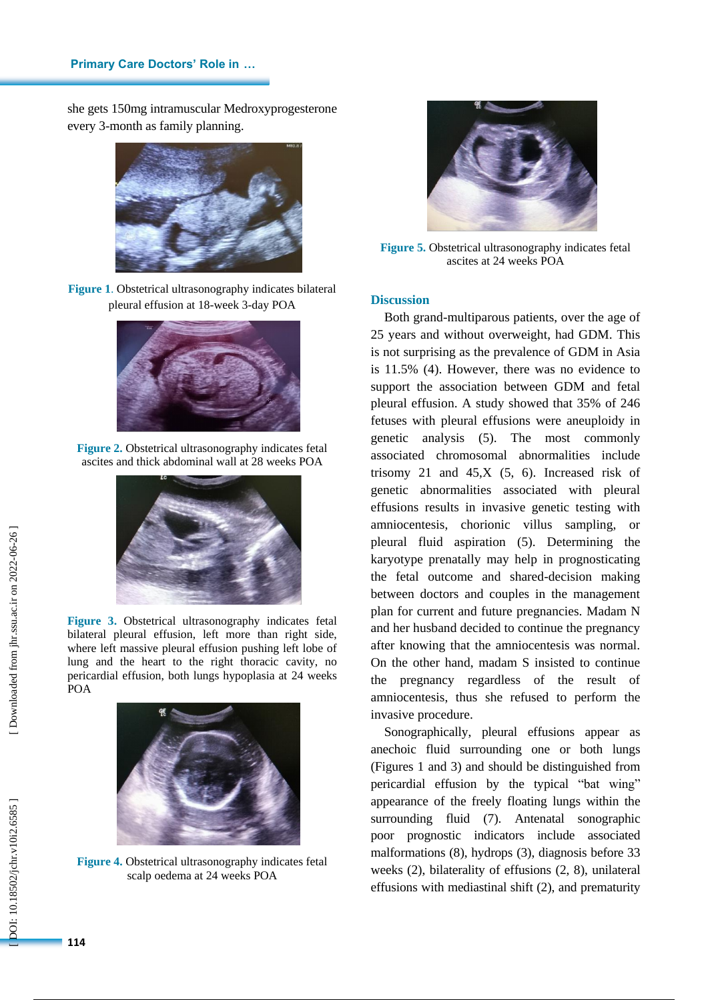she gets 150mg intramuscular Medroxyprogesterone every 3 -month as family planning.



**Figure 1** . Obstetrical ultrasonography indicates bilateral pleural effusion at 18 -week 3 -day POA



**Figure 2 .** Obstetrical ultrasonography indicates fetal ascites and thick abdominal wall at 28 weeks PO A



**Figure 3 .** Obstetrical ultrasonography indicates fetal bilateral pleural effusion, left more than right side, where left massive pleural effusion pushing left lobe of lung and the heart to the right thoracic cavity, no pericardial effusion, both lungs hypoplasia at 24 weeks POA



**Figure 4 .** Obstetrical ultrasonography indicates fetal scalp oedema at 24 weeks POA



**Figure 5 .** Obstetrical ultrasonography indicates fetal ascites at 24 weeks POA

#### **Discussion**

Both grand -multiparous patients, over the age of 25 years and without overweight, had GDM. This is not surprising as the prevalence of GDM in Asia is 11.5% (4) . However, there was no evidence to support the association between GDM and fetal pleural effusion. A study showed that 35% of 246 fetuses with pleural effusions were aneuploidy in genetic analysis (5). The most commonly associated chromosomal abnormalities include trisomy 21 and  $45, X$  (5, 6). Increased risk of genetic abnormalities associated with pleural effusions results in invasive genetic testing with amniocentesis, chorionic villus sampling, or pleural fluid aspiration (5) . Determining the karyotype prenatally may help in prognosticating the fetal outcome and shared -decision making between doctors and couples in the management plan for current and future pregnancies. Madam N and her husband decided to continue the pregnancy after knowing that the amniocentesis was normal. On the other hand, madam S insisted to continue the pregnancy regardless of the result of amniocentesis, thus she refused to perform the invasive procedure.

Sonographically, pleural effusions appear as anechoic fluid surrounding one or both lungs (Figures 1 and 3) and should be distinguished from pericardial effusion by the typical "bat wing" appearance of the freely floating lungs within the surrounding fluid (7). Antenatal sonographic poor prognostic indicators include associated malformations (8), hydrops (3), diagnosis before 33 weeks (2), bilaterality of effusions (2, 8), unilateral effusions with mediastinal shift (2), and prematurity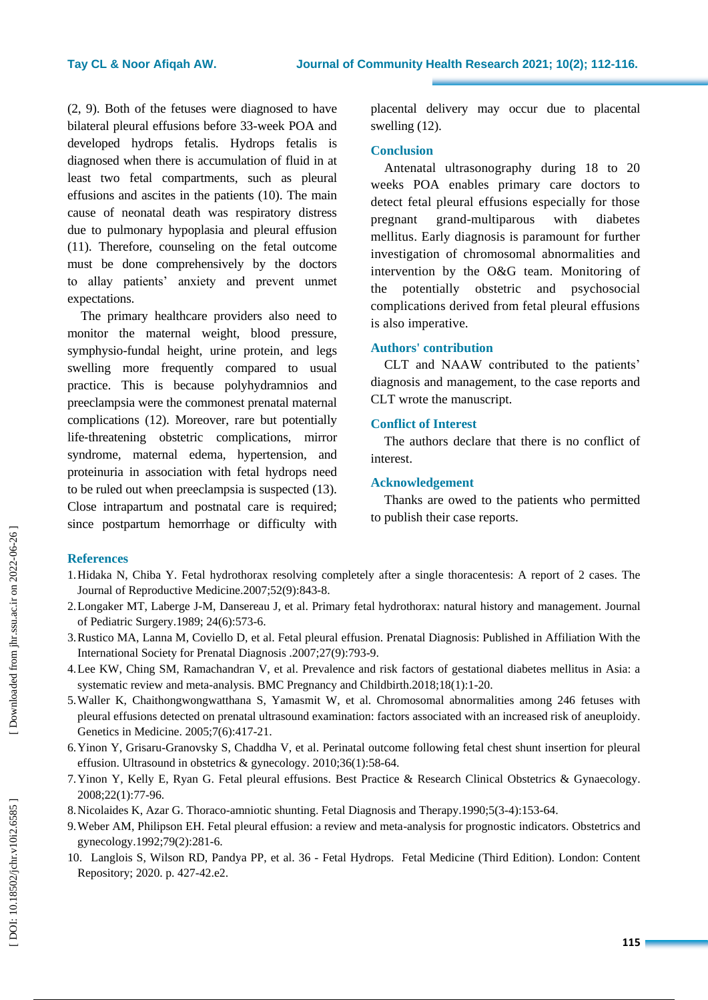(2, 9) . Both of the fetuses were diagnosed to have bilateral pleural effusions before 33 -week POA and developed hydrops fetalis. Hydrops fetalis is diagnosed when there is accumulation of fluid in at least two fetal compartments , such as pleural effusions and ascites in the patients (10) . The main cause of neonatal death was respiratory distress due to pulmonary hypoplasia and pleural effusion (11). Therefore, counseling on the fetal outcome must be done comprehensively by the doctors to allay patients' anxiety and prevent unmet expectations. The primary healthcare providers also need to

monitor the maternal weight, blood pressure, symphysio -fundal height, urine protein , and legs swelling more frequently compare d to usual practice. This is because polyhydramnios and preeclampsia were the commonest prenatal maternal complications (12). Moreover, rare but potentially life-threatening [obstetric complication](https://www.sciencedirect.com/topics/medicine-and-dentistry/obstetric-complication)s, mirror syndrome, maternal [edema,](https://www.sciencedirect.com/topics/nursing-and-health-professions/edema) hypertension, and [proteinuria](https://www.sciencedirect.com/topics/medicine-and-dentistry/proteinuria) in association with [fetal hydrops](https://www.sciencedirect.com/topics/medicine-and-dentistry/hydrops-fetalis) need to be ruled out when preeclampsia is suspected (13). Close intrapartum and postnatal care is required; since postpartum hemorrhage or difficulty with placental delivery may occur due to placental swelling (12) .

#### **Conclusion**

Antenatal ultrasonography during 18 to 20 weeks POA enables primary care doctors to detect fetal pleural effusions especially for those pregnant erand-multiparous with diabetes mellitus. Early diagnosis is paramount for further investigation of chromosomal abnormalities and intervention by the O&G team. Monitoring of the potentially [obstetric and psychosocial](https://www.sciencedirect.com/topics/medicine-and-dentistry/obstetric-complication)  [complications](https://www.sciencedirect.com/topics/medicine-and-dentistry/obstetric-complication) derived from fetal pleural effusions is also imperative.

#### **Authors' contribution**

CLT and NAAW contributed to the patients' diagnosis and management, to the case reports and CLT wrote the manuscript.

### **Conflict of Interest**

The authors declare that there is no conflict of interest.

### **Acknowledgement**

Thanks are owed to the patients who permitted to publish their case reports.

#### **References**

- 1.Hidaka N, Chiba Y. Fetal hydrothorax resolving completely after a single thoracentesis: A report of 2 cases. The Journal of Reproductive Medicine.2007;52(9):843 -8.
- 2.Longaker MT, Laberge J -M, Dansereau J, et al. Primary fetal hydrothorax: natural history and management. Journal of Pediatric Surgery.1989; 24(6):573 -6.
- 3.Rustico MA, Lanna M, Coviello D, et al. Fetal pleural effusion. Prenatal Diagnosis: Published in Affiliation With the International Society for Prenatal Diagnosis .2007;27(9):793 -9.
- 4.Lee KW, Ching SM, Ramachandran V, et al. Prevalence and risk factors of gestational diabetes mellitus in Asia: a systematic review and meta-analysis. BMC Pregnancy and Childbirth.2018;18(1):1-20.
- 5.Waller K, Chaithongwongwatthana S, Yamasmit W, et al. Chromosomal abnormalities among 246 fetuses with pleural effusions detected on prenatal ultrasound examination: factors associated with an increased risk of aneuploidy. Genetics in Medicine . 2005;7(6):417 -21 .
- 6.Yinon Y, Grisaru -Granovsky S, Chaddha V, et al. Perinatal outcome following fetal chest shunt insertion for pleural effusion. Ultrasound in obstetrics & gynecology. 2010;36(1):58-64.
- 7.Yinon Y, Kelly E, Ryan G. Fetal pleural effusions. Best Practice & Research Clinical Obstetrics & Gynaecology . 2008;22(1):77 -96.
- 8.Nicolaides K, Azar G. Thoraco -amniotic shunting. Fetal Diagnosis and Therapy .1990;5(3 -4):153 -64.
- 9.Weber AM, Philipson EH. Fetal pleural effusion: a review and meta -analysis for prognostic indicators. Obstetrics and gynecology .1992;79(2):281 -6.
- 10. Langlois S, Wilson RD, Pandya PP, et al. 36 Fetal Hydrops. Fetal Medicine (Third Edition). London: Content Repository; 2020. p. 427 -42.e2.